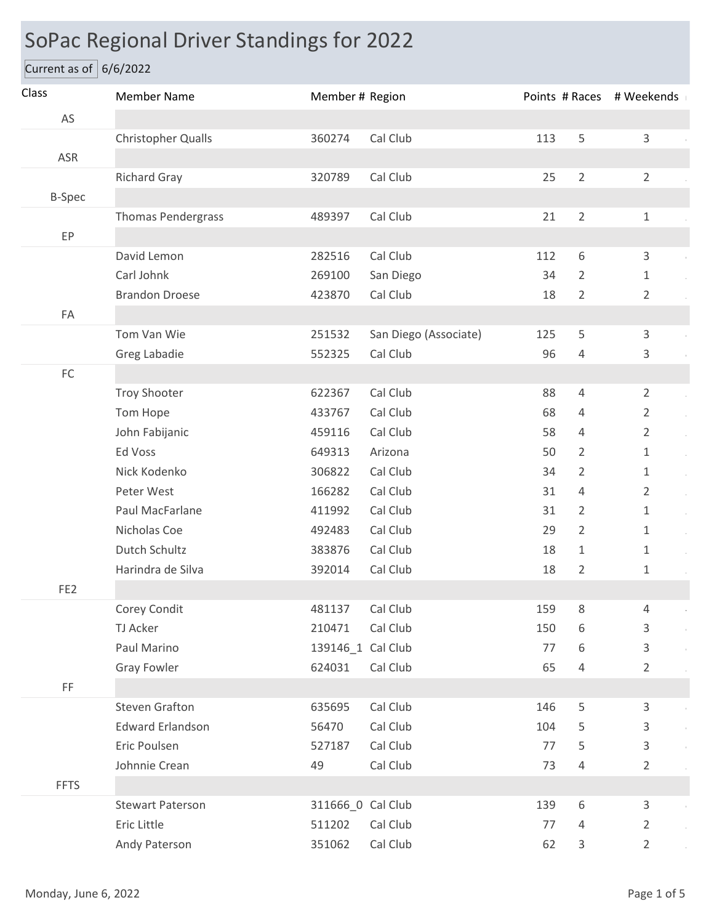## SoPac Regional Driver Standings for 2022

Current as of  $6/6/2022$ 

| Class           | <b>Member Name</b>        | Member # Region   |                       |     |                | Points # Races # Weekends |
|-----------------|---------------------------|-------------------|-----------------------|-----|----------------|---------------------------|
| AS              |                           |                   |                       |     |                |                           |
|                 | Christopher Qualls        | 360274            | Cal Club              | 113 | 5              | 3                         |
| ASR             |                           |                   |                       |     |                |                           |
|                 | <b>Richard Gray</b>       | 320789            | Cal Club              | 25  | $\overline{2}$ | $\overline{2}$            |
| <b>B-Spec</b>   |                           |                   |                       |     |                |                           |
|                 | <b>Thomas Pendergrass</b> | 489397            | Cal Club              | 21  | $\overline{2}$ | $1\,$                     |
| EP              |                           |                   |                       |     |                |                           |
|                 | David Lemon               | 282516            | Cal Club              | 112 | 6              | 3                         |
|                 | Carl Johnk                | 269100            | San Diego             | 34  | $\overline{2}$ | $\mathbf{1}$              |
|                 | <b>Brandon Droese</b>     | 423870            | Cal Club              | 18  | $\overline{2}$ | $\overline{2}$            |
| ${\sf FA}$      |                           |                   |                       |     |                |                           |
|                 | Tom Van Wie               | 251532            | San Diego (Associate) | 125 | 5              | 3                         |
|                 | Greg Labadie              | 552325            | Cal Club              | 96  | $\overline{4}$ | 3                         |
| $\mathsf{FC}$   |                           |                   |                       |     |                |                           |
|                 | <b>Troy Shooter</b>       | 622367            | Cal Club              | 88  | $\overline{4}$ | $\overline{2}$            |
|                 | Tom Hope                  | 433767            | Cal Club              | 68  | 4              | $\overline{2}$            |
|                 | John Fabijanic            | 459116            | Cal Club              | 58  | 4              | $\overline{2}$            |
|                 | Ed Voss                   | 649313            | Arizona               | 50  | $\overline{2}$ | $\mathbf 1$               |
|                 | Nick Kodenko              | 306822            | Cal Club              | 34  | 2              | $\mathbf{1}$              |
|                 | Peter West                | 166282            | Cal Club              | 31  | $\overline{4}$ | $\overline{2}$            |
|                 | Paul MacFarlane           | 411992            | Cal Club              | 31  | $\overline{2}$ | $\mathbf{1}$              |
|                 | Nicholas Coe              | 492483            | Cal Club              | 29  | $\overline{2}$ | $\mathbf{1}$              |
|                 | Dutch Schultz             | 383876            | Cal Club              | 18  | $\mathbf{1}$   | $\mathbf{1}$              |
|                 | Harindra de Silva         | 392014            | Cal Club              | 18  | $\overline{2}$ | $\mathbf{1}$              |
| FE <sub>2</sub> |                           |                   |                       |     |                |                           |
|                 | Corey Condit              | 481137            | Cal Club              | 159 | 8              | 4                         |
|                 | TJ Acker                  | 210471            | Cal Club              | 150 | 6              | 3                         |
|                 | Paul Marino               | 139146_1 Cal Club |                       | 77  | 6              | 3                         |
|                 | <b>Gray Fowler</b>        | 624031            | Cal Club              | 65  | 4              | $\overline{2}$            |
| FF              |                           |                   |                       |     |                |                           |
|                 | <b>Steven Grafton</b>     | 635695            | Cal Club              | 146 | 5              | 3                         |
|                 | <b>Edward Erlandson</b>   | 56470             | Cal Club              | 104 | 5              | 3                         |
|                 | Eric Poulsen              | 527187            | Cal Club              | 77  | 5              | 3                         |
|                 | Johnnie Crean             | 49                | Cal Club              | 73  | 4              | $\overline{2}$            |
| <b>FFTS</b>     |                           |                   |                       |     |                |                           |
|                 | <b>Stewart Paterson</b>   | 311666_0 Cal Club |                       | 139 | 6              | 3                         |
|                 | Eric Little               | 511202            | Cal Club              | 77  | $\overline{4}$ | $\overline{2}$            |
|                 | Andy Paterson             | 351062            | Cal Club              | 62  | 3              | $\overline{2}$            |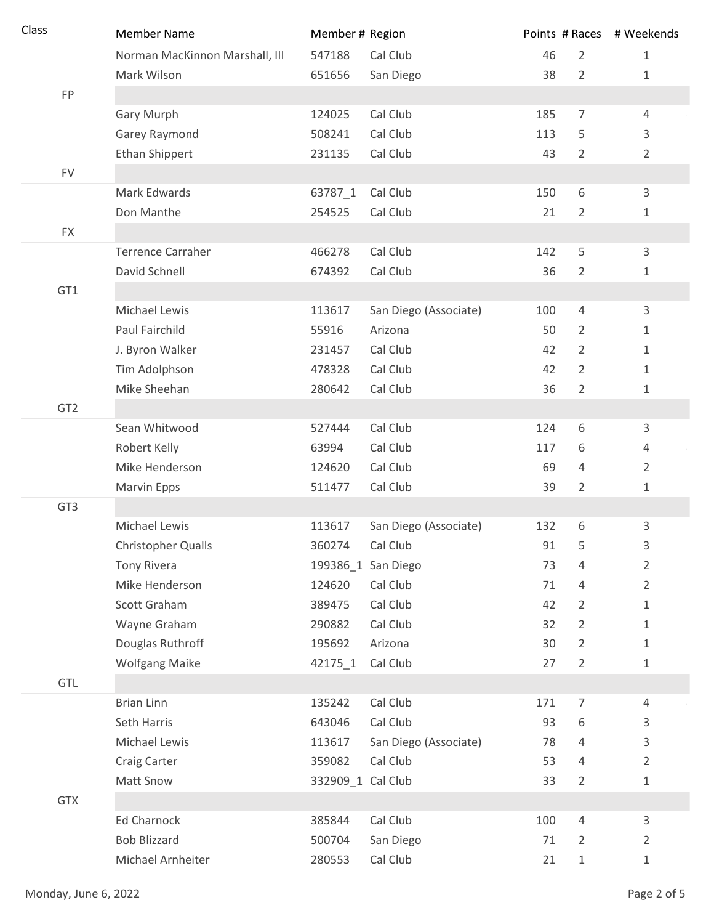| Class           | <b>Member Name</b>             | Member # Region   |                       |     |                  | Points # Races # Weekends |
|-----------------|--------------------------------|-------------------|-----------------------|-----|------------------|---------------------------|
|                 | Norman MacKinnon Marshall, III | 547188            | Cal Club              | 46  | $\overline{2}$   | $\mathbf{1}$              |
|                 | Mark Wilson                    | 651656            | San Diego             | 38  | $\overline{2}$   | $\mathbf{1}$              |
| FP              |                                |                   |                       |     |                  |                           |
|                 | Gary Murph                     | 124025            | Cal Club              | 185 | $\overline{7}$   | $\overline{4}$            |
|                 | Garey Raymond                  | 508241            | Cal Club              | 113 | 5                | 3                         |
|                 | Ethan Shippert                 | 231135            | Cal Club              | 43  | $\overline{2}$   | $\overline{2}$            |
| <b>FV</b>       |                                |                   |                       |     |                  |                           |
|                 | Mark Edwards                   | 63787_1           | Cal Club              | 150 | 6                | 3                         |
|                 | Don Manthe                     | 254525            | Cal Club              | 21  | $\overline{2}$   | $\mathbf{1}$              |
| <b>FX</b>       |                                |                   |                       |     |                  |                           |
|                 | <b>Terrence Carraher</b>       | 466278            | Cal Club              | 142 | 5                | 3                         |
|                 | David Schnell                  | 674392            | Cal Club              | 36  | $\overline{2}$   | $\mathbf{1}$              |
| GT1             |                                |                   |                       |     |                  |                           |
|                 | Michael Lewis                  | 113617            | San Diego (Associate) | 100 | $\overline{4}$   | 3                         |
|                 | Paul Fairchild                 | 55916             | Arizona               | 50  | $\overline{2}$   | $\mathbf{1}$              |
|                 | J. Byron Walker                | 231457            | Cal Club              | 42  | $\overline{2}$   | $\mathbf{1}$              |
|                 | Tim Adolphson                  | 478328            | Cal Club              | 42  | $\overline{2}$   | $\mathbf{1}$              |
|                 | Mike Sheehan                   | 280642            | Cal Club              | 36  | $\overline{2}$   | 1                         |
| GT <sub>2</sub> |                                |                   |                       |     |                  |                           |
|                 | Sean Whitwood                  | 527444            | Cal Club              | 124 | 6                | 3                         |
|                 | Robert Kelly                   | 63994             | Cal Club              | 117 | 6                | 4                         |
|                 | Mike Henderson                 | 124620            | Cal Club              | 69  | 4                | $\overline{2}$            |
|                 | Marvin Epps                    | 511477            | Cal Club              | 39  | $\overline{2}$   | 1                         |
| GT3             |                                |                   |                       |     |                  |                           |
|                 | Michael Lewis                  | 113617            | San Diego (Associate) | 132 | 6                | 3                         |
|                 | <b>Christopher Qualls</b>      | 360274            | Cal Club              | 91  | 5                | 3                         |
|                 | <b>Tony Rivera</b>             |                   | 199386_1 San Diego    | 73  | 4                | $\overline{2}$            |
|                 | Mike Henderson                 | 124620            | Cal Club              | 71  | 4                | $\overline{2}$            |
|                 | Scott Graham                   | 389475            | Cal Club              | 42  | $\overline{2}$   | $\mathbf 1$               |
|                 | Wayne Graham                   | 290882            | Cal Club              | 32  | $\overline{2}$   | $1\,$                     |
|                 | Douglas Ruthroff               | 195692            | Arizona               | 30  | $\overline{2}$   | $\mathbf 1$               |
|                 | <b>Wolfgang Maike</b>          | 42175_1           | Cal Club              | 27  | $\overline{2}$   | $\mathbf 1$               |
| GTL             |                                |                   |                       |     |                  |                           |
|                 | <b>Brian Linn</b>              | 135242            | Cal Club              | 171 | $\boldsymbol{7}$ | $\overline{4}$            |
|                 | Seth Harris                    | 643046            | Cal Club              | 93  | 6                | 3                         |
|                 | Michael Lewis                  | 113617            | San Diego (Associate) | 78  | 4                | 3                         |
|                 | <b>Craig Carter</b>            | 359082            | Cal Club              | 53  | 4                | $\overline{2}$            |
|                 | Matt Snow                      | 332909_1 Cal Club |                       | 33  | $\overline{2}$   | $\mathbf 1$               |
| <b>GTX</b>      |                                |                   |                       |     |                  |                           |
|                 | Ed Charnock                    | 385844            | Cal Club              | 100 | $\overline{4}$   | 3                         |
|                 | <b>Bob Blizzard</b>            | 500704            | San Diego             | 71  | $\overline{2}$   | $\overline{2}$            |
|                 | Michael Arnheiter              | 280553            | Cal Club              | 21  | $\mathbf 1$      | $1\,$                     |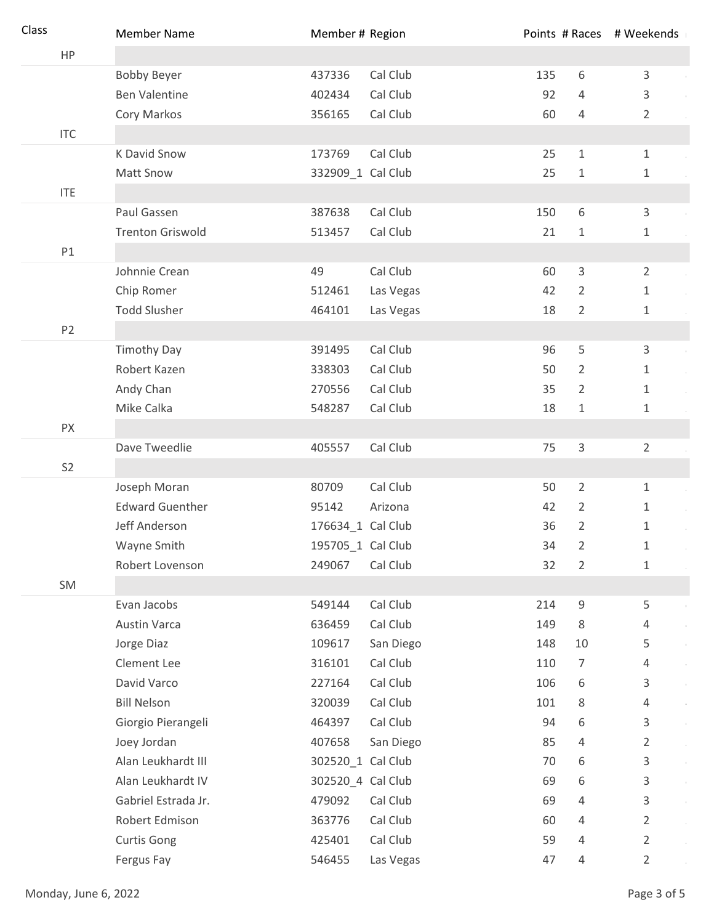| Class |                | <b>Member Name</b>      | Member # Region   |           |     |                | Points # Races # Weekends |
|-------|----------------|-------------------------|-------------------|-----------|-----|----------------|---------------------------|
|       | HP             |                         |                   |           |     |                |                           |
|       |                | <b>Bobby Beyer</b>      | 437336            | Cal Club  | 135 | 6              | 3                         |
|       |                | <b>Ben Valentine</b>    | 402434            | Cal Club  | 92  | 4              | 3                         |
|       |                | Cory Markos             | 356165            | Cal Club  | 60  | 4              | $\overline{2}$            |
|       | <b>ITC</b>     |                         |                   |           |     |                |                           |
|       |                | K David Snow            | 173769            | Cal Club  | 25  | $\mathbf{1}$   | $\mathbf{1}$              |
|       |                | Matt Snow               | 332909_1 Cal Club |           | 25  | $\mathbf 1$    | $\mathbf{1}$              |
|       | <b>ITE</b>     |                         |                   |           |     |                |                           |
|       |                | Paul Gassen             | 387638            | Cal Club  | 150 | $6\,$          | 3                         |
|       |                | <b>Trenton Griswold</b> | 513457            | Cal Club  | 21  | $\mathbf 1$    | 1                         |
|       | P1             |                         |                   |           |     |                |                           |
|       |                | Johnnie Crean           | 49                | Cal Club  | 60  | 3              | $\overline{2}$            |
|       |                | Chip Romer              | 512461            | Las Vegas | 42  | $\overline{2}$ | 1                         |
|       |                | <b>Todd Slusher</b>     | 464101            | Las Vegas | 18  | $\overline{2}$ | 1                         |
|       | P <sub>2</sub> |                         |                   |           |     |                |                           |
|       |                | <b>Timothy Day</b>      | 391495            | Cal Club  | 96  | 5              | 3                         |
|       |                | Robert Kazen            | 338303            | Cal Club  | 50  | 2              | $\mathbf 1$               |
|       |                | Andy Chan               | 270556            | Cal Club  | 35  | $\overline{2}$ | $\mathbf{1}$              |
|       |                | Mike Calka              | 548287            | Cal Club  | 18  | $\mathbf{1}$   | $\mathbf 1$               |
|       | PX             |                         |                   |           |     |                |                           |
|       |                | Dave Tweedlie           | 405557            | Cal Club  | 75  | 3              | $\overline{2}$            |
|       | S <sub>2</sub> |                         |                   |           |     |                |                           |
|       |                | Joseph Moran            | 80709             | Cal Club  | 50  | $\overline{2}$ | $\mathbf{1}$              |
|       |                | <b>Edward Guenther</b>  | 95142             | Arizona   | 42  | $\overline{2}$ | 1                         |
|       |                | Jeff Anderson           | 176634_1 Cal Club |           | 36  | $\overline{2}$ | 1                         |
|       |                | Wayne Smith             | 195705_1 Cal Club |           | 34  | 2              | 1                         |
|       |                | Robert Lovenson         | 249067            | Cal Club  | 32  | 2              | 1                         |
|       | SM             |                         |                   |           |     |                |                           |
|       |                | Evan Jacobs             | 549144            | Cal Club  | 214 | $\mathsf 9$    | 5                         |
|       |                | <b>Austin Varca</b>     | 636459            | Cal Club  | 149 | 8              | 4                         |
|       |                | Jorge Diaz              | 109617            | San Diego | 148 | 10             | 5                         |
|       |                | Clement Lee             | 316101            | Cal Club  | 110 | $\overline{7}$ | 4                         |
|       |                | David Varco             | 227164            | Cal Club  | 106 | 6              | 3                         |
|       |                | <b>Bill Nelson</b>      | 320039            | Cal Club  | 101 | 8              | 4                         |
|       |                | Giorgio Pierangeli      | 464397            | Cal Club  | 94  | 6              | 3                         |
|       |                | Joey Jordan             | 407658            | San Diego | 85  | 4              | 2                         |
|       |                | Alan Leukhardt III      | 302520_1 Cal Club |           | 70  | 6              | 3                         |
|       |                | Alan Leukhardt IV       | 302520_4 Cal Club |           | 69  | 6              | 3                         |
|       |                | Gabriel Estrada Jr.     | 479092            | Cal Club  | 69  | 4              | 3                         |
|       |                | Robert Edmison          | 363776            | Cal Club  | 60  | 4              | $\overline{2}$            |
|       |                | <b>Curtis Gong</b>      | 425401            | Cal Club  | 59  | 4              | $\overline{2}$            |
|       |                | Fergus Fay              | 546455            | Las Vegas | 47  | 4              | $\overline{2}$            |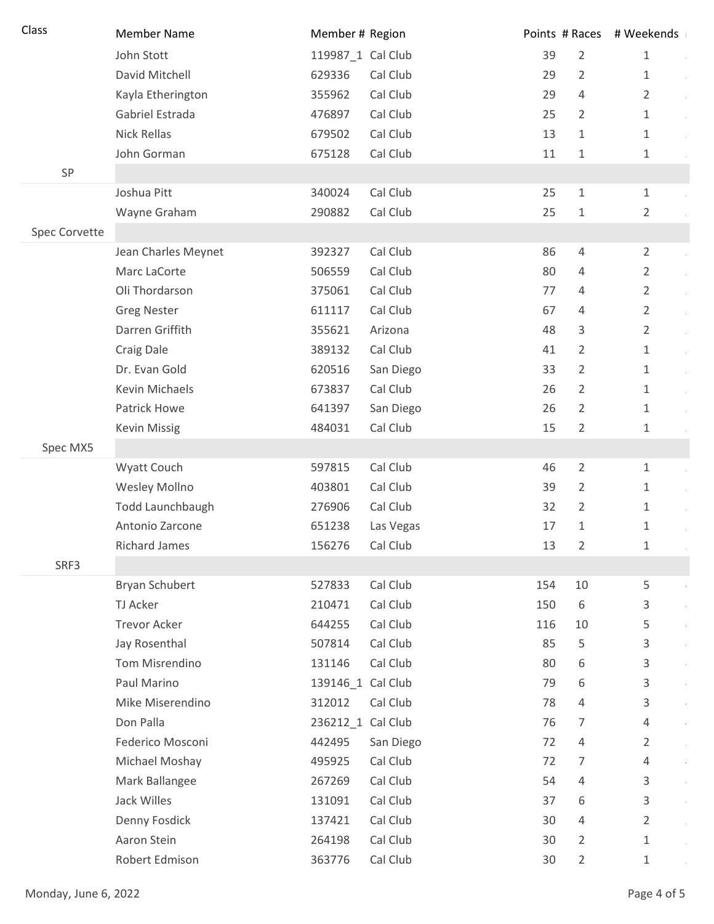| Class         | <b>Member Name</b>    | Member # Region   |           |     |                | Points # Races # Weekends |
|---------------|-----------------------|-------------------|-----------|-----|----------------|---------------------------|
|               | John Stott            | 119987_1 Cal Club |           | 39  | $\overline{2}$ | $1\,$                     |
|               | David Mitchell        | 629336            | Cal Club  | 29  | $\overline{2}$ | 1                         |
|               | Kayla Etherington     | 355962            | Cal Club  | 29  | $\overline{4}$ | $\overline{2}$            |
|               | Gabriel Estrada       | 476897            | Cal Club  | 25  | 2              | 1                         |
|               | <b>Nick Rellas</b>    | 679502            | Cal Club  | 13  | 1              | $\mathbf{1}$              |
|               | John Gorman           | 675128            | Cal Club  | 11  | 1              | 1                         |
| SP            |                       |                   |           |     |                |                           |
|               | Joshua Pitt           | 340024            | Cal Club  | 25  | $\mathbf{1}$   | $\mathbf{1}$              |
|               | Wayne Graham          | 290882            | Cal Club  | 25  | 1              | $\overline{2}$            |
| Spec Corvette |                       |                   |           |     |                |                           |
|               | Jean Charles Meynet   | 392327            | Cal Club  | 86  | $\overline{4}$ | $\overline{2}$            |
|               | Marc LaCorte          | 506559            | Cal Club  | 80  | 4              | $\overline{2}$            |
|               | Oli Thordarson        | 375061            | Cal Club  | 77  | 4              | $\overline{2}$            |
|               | <b>Greg Nester</b>    | 611117            | Cal Club  | 67  | $\overline{4}$ | $\overline{2}$            |
|               | Darren Griffith       | 355621            | Arizona   | 48  | 3              | $\overline{2}$            |
|               | Craig Dale            | 389132            | Cal Club  | 41  | 2              | $\mathbf{1}$              |
|               | Dr. Evan Gold         | 620516            | San Diego | 33  | 2              | 1                         |
|               | Kevin Michaels        | 673837            | Cal Club  | 26  | 2              | 1                         |
|               | Patrick Howe          | 641397            | San Diego | 26  | 2              | 1                         |
|               | <b>Kevin Missig</b>   | 484031            | Cal Club  | 15  | 2              | 1                         |
| Spec MX5      |                       |                   |           |     |                |                           |
|               | Wyatt Couch           | 597815            | Cal Club  | 46  | $\overline{2}$ | $\mathbf{1}$              |
|               | Wesley Mollno         | 403801            | Cal Club  | 39  | $\overline{2}$ | 1                         |
|               | Todd Launchbaugh      | 276906            | Cal Club  | 32  | $\overline{2}$ | 1                         |
|               | Antonio Zarcone       | 651238            | Las Vegas | 17  | 1              | 1                         |
|               | <b>Richard James</b>  | 156276            | Cal Club  | 13  | 2              | 1                         |
| SRF3          |                       |                   |           |     |                |                           |
|               | <b>Bryan Schubert</b> | 527833            | Cal Club  | 154 | 10             | 5                         |
|               | TJ Acker              | 210471            | Cal Club  | 150 | 6              | 3                         |
|               | <b>Trevor Acker</b>   | 644255            | Cal Club  | 116 | 10             | 5                         |
|               | Jay Rosenthal         | 507814            | Cal Club  | 85  | 5              | 3                         |
|               | Tom Misrendino        | 131146            | Cal Club  | 80  | 6              | 3                         |
|               | Paul Marino           | 139146 1 Cal Club |           | 79  | 6              | 3                         |
|               | Mike Miserendino      | 312012            | Cal Club  | 78  | $\overline{4}$ | 3                         |
|               | Don Palla             | 236212_1 Cal Club |           | 76  | 7              | 4                         |
|               | Federico Mosconi      | 442495            | San Diego | 72  | $\overline{4}$ | 2                         |
|               | Michael Moshay        | 495925            | Cal Club  | 72  | 7              | 4                         |
|               | Mark Ballangee        | 267269            | Cal Club  | 54  | $\overline{4}$ | 3                         |
|               | Jack Willes           | 131091            | Cal Club  | 37  | 6              | 3                         |
|               | Denny Fosdick         | 137421            | Cal Club  | 30  | $\overline{4}$ | $\overline{2}$            |
|               | Aaron Stein           | 264198            | Cal Club  | 30  | 2              | $\mathbf{1}$              |
|               | Robert Edmison        | 363776            | Cal Club  | 30  | $\overline{2}$ | 1                         |